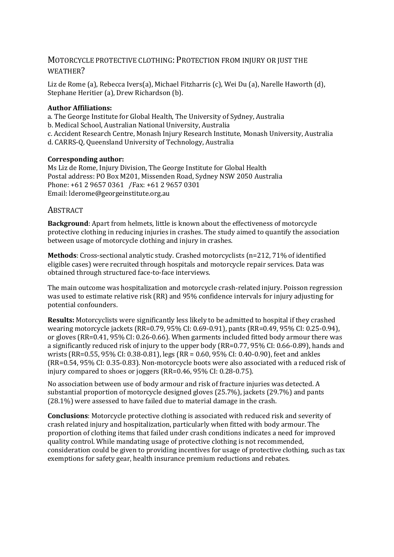# MOTORCYCLE PROTECTIVE CLOTHING: PROTECTION FROM INJURY OR JUST THE WEATHER?

Liz de Rome (a), Rebecca Ivers(a), Michael Fitzharris (c), Wei Du (a), Narelle Haworth (d), Stephane Heritier (a), Drew Richardson (b).

# **Author Affiliations:**

a. The George Institute for Global Health, The University of Sydney, Australia

- b. Medical School, Australian National University, Australia
- c. Accident Research Centre, Monash Injury Research Institute, Monash University, Australia
- d. CARRS-Q, Queensland University of Technology, Australia

# **Corresponding author:**

Ms Liz de Rome, Injury Division, The George Institute for Global Health Postal address: PO Box M201, Missenden Road, Sydney NSW 2050 Australia Phone: +61 2 9657 0361 /Fax: +61 2 9657 0301 Email: [lderome@georgeinstitute.org.au](mailto:lderome@georgeinstitute.org.au) 

# **ABSTRACT**

**Background**: Apart from helmets, little is known about the effectiveness of motorcycle protective clothing in reducing injuries in crashes. The study aimed to quantify the association between usage of motorcycle clothing and injury in crashes.

**Methods**: Cross-sectional analytic study. Crashed motorcyclists (n=212, 71% of identified eligible cases) were recruited through hospitals and motorcycle repair services. Data was obtained through structured face-to-face interviews.

The main outcome was hospitalization and motorcycle crash-related injury. Poisson regression was used to estimate relative risk (RR) and 95% confidence intervals for injury adjusting for potential confounders.

**Results:** Motorcyclists were significantly less likely to be admitted to hospital if they crashed wearing motorcycle jackets (RR=0.79, 95% CI: 0.69-0.91), pants (RR=0.49, 95% CI: 0.25-0.94), or gloves (RR=0.41, 95% CI: 0.26-0.66). When garments included fitted body armour there was a significantly reduced risk of injury to the upper body (RR=0.77, 95% CI: 0.66-0.89), hands and wrists (RR=0.55, 95% CI: 0.38-0.81), legs (RR = 0.60, 95% CI: 0.40-0.90), feet and ankles (RR=0.54, 95% CI: 0.35-0.83). Non-motorcycle boots were also associated with a reduced risk of injury compared to shoes or joggers (RR=0.46, 95% CI: 0.28-0.75).

No association between use of body armour and risk of fracture injuries was detected. A substantial proportion of motorcycle designed gloves (25.7%), jackets (29.7%) and pants (28.1%) were assessed to have failed due to material damage in the crash.

**Conclusions**: Motorcycle protective clothing is associated with reduced risk and severity of crash related injury and hospitalization, particularly when fitted with body armour. The proportion of clothing items that failed under crash conditions indicates a need for improved quality control. While mandating usage of protective clothing is not recommended, consideration could be given to providing incentives for usage of protective clothing, such as tax exemptions for safety gear, health insurance premium reductions and rebates.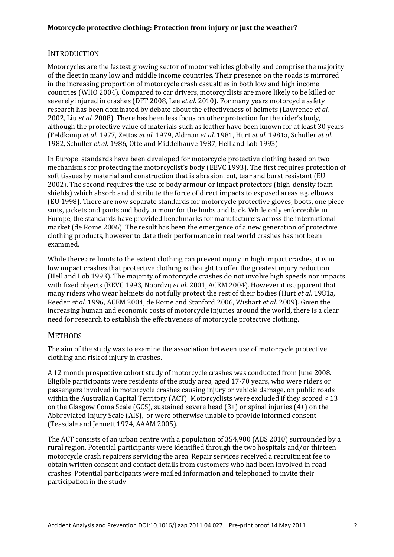# **INTRODUCTION**

Motorcycles are the fastest growing sector of motor vehicles globally and comprise the majority of the fleet in many low and middle income countries. Their presence on the roads is mirrored in the increasing proportion of motorcycle crash casualties in both low and high income countries (WHO 2004). Compared to car drivers, motorcyclists are more likely to be killed or severely injured in crashes (DFT 2008, Lee *et al.* 2010). For many years motorcycle safety research has been dominated by debate about the effectiveness of helmets (Lawrence *et al.* 2002, Liu *et al.* 2008). There has been less focus on other protection for the rider's body, although the protective value of materials such as leather have been known for at least 30 years (Feldkamp *et al.* 1977, Zettas *et al.* 1979, Aldman *et al.* 1981, Hurt *et al.* 1981a, Schuller *et al.* 1982, Schuller *et al.* 1986, Otte and Middelhauve 1987, Hell and Lob 1993).

In Europe, standards have been developed for motorcycle protective clothing based on two mechanisms for protecting the motorcyclist's body (EEVC 1993). The first requires protection of soft tissues by material and construction that is abrasion, cut, tear and burst resistant (EU 2002). The second requires the use of body armour or impact protectors (high-density foam shields) which absorb and distribute the force of direct impacts to exposed areas e.g. elbows (EU 1998). There are now separate standards for motorcycle protective gloves, boots, one piece suits, jackets and pants and body armour for the limbs and back. While only enforceable in Europe, the standards have provided benchmarks for manufacturers across the international market (de Rome 2006). The result has been the emergence of a new generation of protective clothing products, however to date their performance in real world crashes has not been examined.

While there are limits to the extent clothing can prevent injury in high impact crashes, it is in low impact crashes that protective clothing is thought to offer the greatest injury reduction (Hell and Lob 1993). The majority of motorcycle crashes do not involve high speeds nor impacts with fixed objects (EEVC 1993, Noordzij *et al.* 2001, ACEM 2004). However it is apparent that many riders who wear helmets do not fully protect the rest of their bodies (Hurt *et al.* 1981a, Reeder *et al.* 1996, ACEM 2004, de Rome and Stanford 2006, Wishart *et al.* 2009). Given the increasing human and economic costs of motorcycle injuries around the world, there is a clear need for research to establish the effectiveness of motorcycle protective clothing.

# **METHODS**

The aim of the study was to examine the association between use of motorcycle protective clothing and risk of injury in crashes.

A 12 month prospective cohort study of motorcycle crashes was conducted from June 2008. Eligible participants were residents of the study area, aged 17-70 years, who were riders or passengers involved in motorcycle crashes causing injury or vehicle damage, on public roads within the Australian Capital Territory (ACT). Motorcyclists were excluded if they scored < 13 on the Glasgow Coma Scale (GCS), sustained severe head (3+) or spinal injuries (4+) on the Abbreviated Injury Scale (AIS), or were otherwise unable to provide informed consent (Teasdale and Jennett 1974, AAAM 2005).

The ACT consists of an urban centre with a population of 354,900 (ABS 2010) surrounded by a rural region. Potential participants were identified through the two hospitals and/or thirteen motorcycle crash repairers servicing the area. Repair services received a recruitment fee to obtain written consent and contact details from customers who had been involved in road crashes. Potential participants were mailed information and telephoned to invite their participation in the study.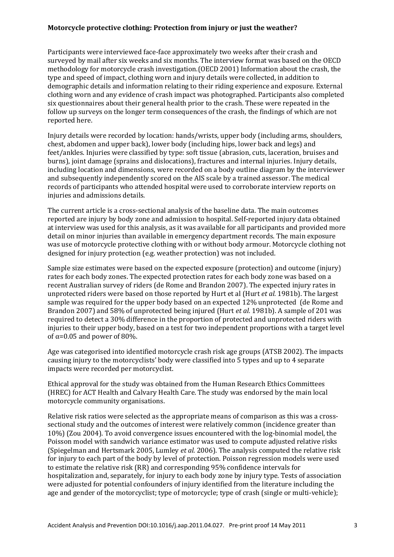Participants were interviewed face-face approximately two weeks after their crash and surveyed by mail after six weeks and six months. The interview format was based on the OECD methodology for motorcycle crash investigation.(OECD 2001) Information about the crash, the type and speed of impact, clothing worn and injury details were collected, in addition to demographic details and information relating to their riding experience and exposure. External clothing worn and any evidence of crash impact was photographed. Participants also completed six questionnaires about their general health prior to the crash. These were repeated in the follow up surveys on the longer term consequences of the crash, the findings of which are not reported here.

Injury details were recorded by location: hands/wrists, upper body (including arms, shoulders, chest, abdomen and upper back), lower body (including hips, lower back and legs) and feet/ankles. Injuries were classified by type: soft tissue (abrasion, cuts, laceration, bruises and burns), joint damage (sprains and dislocations), fractures and internal injuries. Injury details, including location and dimensions, were recorded on a body outline diagram by the interviewer and subsequently independently scored on the AIS scale by a trained assessor. The medical records of participants who attended hospital were used to corroborate interview reports on injuries and admissions details.

The current article is a cross-sectional analysis of the baseline data. The main outcomes reported are injury by body zone and admission to hospital. Self-reported injury data obtained at interview was used for this analysis, as it was available for all participants and provided more detail on minor injuries than available in emergency department records. The main exposure was use of motorcycle protective clothing with or without body armour. Motorcycle clothing not designed for injury protection (e.g. weather protection) was not included.

Sample size estimates were based on the expected exposure (protection) and outcome (injury) rates for each body zones. The expected protection rates for each body zone was based on a recent Australian survey of riders (de Rome and Brandon 2007). The expected injury rates in unprotected riders were based on those reported by Hurt et al (Hurt *et al.* 1981b). The largest sample was required for the upper body based on an expected 12% unprotected (de Rome and Brandon 2007) and 58% of unprotected being injured (Hurt *et al.* 1981b). A sample of 201 was required to detect a 30% difference in the proportion of protected and unprotected riders with injuries to their upper body, based on a test for two independent proportions with a target level of  $\alpha$ =0.05 and power of 80%.

Age was categorised into identified motorcycle crash risk age groups (ATSB 2002). The impacts causing injury to the motorcyclists' body were classified into 5 types and up to 4 separate impacts were recorded per motorcyclist.

Ethical approval for the study was obtained from the Human Research Ethics Committees (HREC) for ACT Health and Calvary Health Care. The study was endorsed by the main local motorcycle community organisations.

Relative risk ratios were selected as the appropriate means of comparison as this was a crosssectional study and the outcomes of interest were relatively common (incidence greater than 10%) (Zou 2004). To avoid convergence issues encountered with the log-binomial model, the Poisson model with sandwich variance estimator was used to compute adjusted relative risks (Spiegelman and Hertsmark 2005, Lumley *et al.* 2006). The analysis computed the relative risk for injury to each part of the body by level of protection. Poisson regression models were used to estimate the relative risk (RR) and corresponding 95% confidence intervals for hospitalization and, separately, for injury to each body zone by injury type. Tests of association were adjusted for potential confounders of injury identified from the literature including the age and gender of the motorcyclist; type of motorcycle; type of crash (single or multi-vehicle);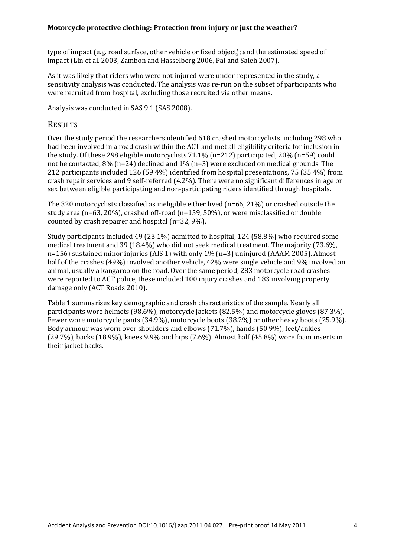type of impact (e.g. road surface, other vehicle or fixed object); and the estimated speed of impact (Lin et al. 2003, Zambon and Hasselberg 2006, Pai and Saleh 2007).

As it was likely that riders who were not injured were under-represented in the study, a sensitivity analysis was conducted. The analysis was re-run on the subset of participants who were recruited from hospital, excluding those recruited via other means.

Analysis was conducted in SAS 9.1 (SAS 2008).

## **RESULTS**

Over the study period the researchers identified 618 crashed motorcyclists, including 298 who had been involved in a road crash within the ACT and met all eligibility criteria for inclusion in the study. Of these 298 eligible motorcyclists 71.1% (n=212) participated, 20% (n=59) could not be contacted, 8% (n=24) declined and 1% (n=3) were excluded on medical grounds. The 212 participants included 126 (59.4%) identified from hospital presentations, 75 (35.4%) from crash repair services and 9 self-referred (4.2%). There were no significant differences in age or sex between eligible participating and non-participating riders identified through hospitals.

The 320 motorcyclists classified as ineligible either lived (n=66, 21%) or crashed outside the study area (n=63, 20%), crashed off-road (n=159, 50%), or were misclassified or double counted by crash repairer and hospital (n=32, 9%).

Study participants included 49 (23.1%) admitted to hospital, 124 (58.8%) who required some medical treatment and 39 (18.4%) who did not seek medical treatment. The majority (73.6%, n=156) sustained minor injuries (AIS 1) with only 1% (n=3) uninjured (AAAM 2005). Almost half of the crashes (49%) involved another vehicle, 42% were single vehicle and 9% involved an animal, usually a kangaroo on the road. Over the same period, 283 motorcycle road crashes were reported to ACT police, these included 100 injury crashes and 183 involving property damage only (ACT Roads 2010).

Table 1 summarises key demographic and crash characteristics of the sample. Nearly all participants wore helmets (98.6%), motorcycle jackets (82.5%) and motorcycle gloves (87.3%). Fewer wore motorcycle pants (34.9%), motorcycle boots (38.2%) or other heavy boots (25.9%). Body armour was worn over shoulders and elbows (71.7%), hands (50.9%), feet/ankles (29.7%), backs (18.9%), knees 9.9% and hips (7.6%). Almost half (45.8%) wore foam inserts in their jacket backs.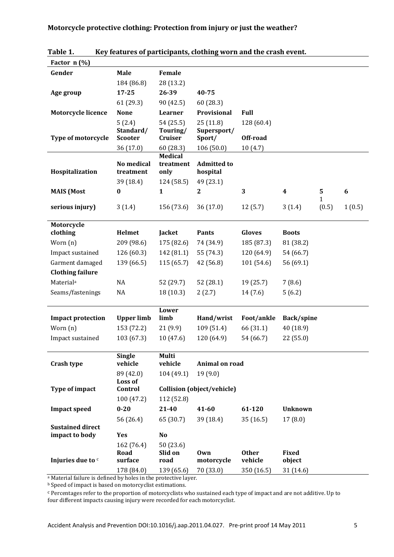| Factor n (%)                        |                                      |                             |                                   |               |                        |            |                  |
|-------------------------------------|--------------------------------------|-----------------------------|-----------------------------------|---------------|------------------------|------------|------------------|
| Gender                              | <b>Male</b>                          | Female                      |                                   |               |                        |            |                  |
|                                     | 184 (86.8)                           | 28 (13.2)                   |                                   |               |                        |            |                  |
| Age group                           | $17 - 25$                            | 26-39                       | 40-75                             |               |                        |            |                  |
|                                     | 61(29.3)                             | 90 (42.5)                   | 60 (28.3)                         |               |                        |            |                  |
| <b>Motorcycle licence</b>           | <b>None</b>                          | Learner                     | Provisional                       | <b>Full</b>   |                        |            |                  |
|                                     | 5(2.4)                               | 54 (25.5)                   | 25(11.8)                          | 128 (60.4)    |                        |            |                  |
|                                     | Standard/                            | Touring/                    | Supersport/                       | Off-road      |                        |            |                  |
| <b>Type of motorcycle</b>           | <b>Scooter</b>                       | Cruiser                     | Sport/                            |               |                        |            |                  |
|                                     | 36 (17.0)                            | 60 (28.3)<br><b>Medical</b> | 106 (50.0)                        | 10(4.7)       |                        |            |                  |
|                                     | No medical                           | treatment                   | <b>Admitted to</b>                |               |                        |            |                  |
| Hospitalization                     | treatment                            | only                        | hospital                          |               |                        |            |                  |
|                                     | 39 (18.4)                            | 124 (58.5)                  | 49 (23.1)                         |               |                        |            |                  |
| <b>MAIS</b> (Most                   | $\boldsymbol{0}$                     | $\mathbf{1}$                | $\boldsymbol{2}$                  | 3             | $\boldsymbol{4}$       | 5          | $\boldsymbol{6}$ |
| serious injury)                     | 3(1.4)                               | 156 (73.6)                  | 36(17.0)                          | 12(5.7)       | 3(1.4)                 | 1<br>(0.5) | 1(0.5)           |
|                                     |                                      |                             |                                   |               |                        |            |                  |
| Motorcycle                          |                                      |                             |                                   |               |                        |            |                  |
| clothing                            | <b>Helmet</b>                        | Jacket                      | <b>Pants</b>                      | <b>Gloves</b> | <b>Boots</b>           |            |                  |
| Worn $(n)$                          | 209 (98.6)                           | 175 (82.6)                  | 74 (34.9)                         | 185 (87.3)    | 81 (38.2)              |            |                  |
| Impact sustained                    | 126(60.3)                            | 142 (81.1)                  | 55 (74.3)                         | 120 (64.9)    | 54 (66.7)              |            |                  |
| Garment damaged                     | 139 (66.5)                           | 115 (65.7)                  | 42 (56.8)                         | 101 (54.6)    | 56 (69.1)              |            |                  |
| <b>Clothing failure</b>             |                                      |                             |                                   |               |                        |            |                  |
| Material <sup>a</sup>               | NA                                   | 52 (29.7)                   | 52 (28.1)                         | 19 (25.7)     | 7(8.6)                 |            |                  |
| Seams/fastenings                    | NA                                   | 18 (10.3)                   | 2(2.7)                            | 14(7.6)       | 5(6.2)                 |            |                  |
|                                     |                                      | Lower                       |                                   |               |                        |            |                  |
| <b>Impact protection</b>            | <b>Upper limb</b>                    | limb                        | Hand/wrist                        | Foot/ankle    | Back/spine             |            |                  |
| Worn (n)                            | 153 (72.2)                           | 21(9.9)                     | 109(51.4)                         | 66 (31.1)     | 40 (18.9)              |            |                  |
| Impact sustained                    | 103 (67.3)                           | 10(47.6)                    | 120 (64.9)                        | 54 (66.7)     | 22 (55.0)              |            |                  |
|                                     |                                      |                             |                                   |               |                        |            |                  |
|                                     | <b>Single</b>                        | <b>Multi</b>                |                                   |               |                        |            |                  |
| Crash type                          | vehicle                              | vehicle                     | Animal on road                    |               |                        |            |                  |
|                                     | 89 (42.0)                            | 104 (49.1)                  | 19(9.0)                           |               |                        |            |                  |
| Type of impact                      | Control                              |                             | <b>Collision (object/vehicle)</b> |               |                        |            |                  |
|                                     | 100(47.2)                            | 112 (52.8)                  |                                   |               |                        |            |                  |
| <b>Impact speed</b>                 | $0 - 20$                             | 21-40                       | 41-60                             | 61-120        | <b>Unknown</b>         |            |                  |
|                                     | 56 (26.4)                            | 65 (30.7)                   | 39 (18.4)                         | 35(16.5)      | 17(8.0)                |            |                  |
| <b>Sustained direct</b>             |                                      |                             |                                   |               |                        |            |                  |
|                                     |                                      |                             |                                   |               |                        |            |                  |
|                                     |                                      |                             |                                   |               |                        |            |                  |
|                                     | surface                              | road                        |                                   | vehicle       |                        |            |                  |
|                                     | 178 (84.0)                           | 139 (65.6)                  | 70 (33.0)                         | 350 (16.5)    | 31 (14.6)              |            |                  |
| impact to body<br>Injuries due to c | Loss of<br>Yes<br>162 (76.4)<br>Road | No<br>50 (23.6)<br>Slid on  | Own<br>motorcycle                 | <b>Other</b>  | <b>Fixed</b><br>object |            |                  |

**Table 1. Key features of participants, clothing worn and the crash event.**

a Material failure is defined by holes in the protective layer.

**b** Speed of impact is based on motorcyclist estimations.

c Percentages refer to the proportion of motorcyclists who sustained each type of impact and are not additive. Up to four different impacts causing injury were recorded for each motorcyclist.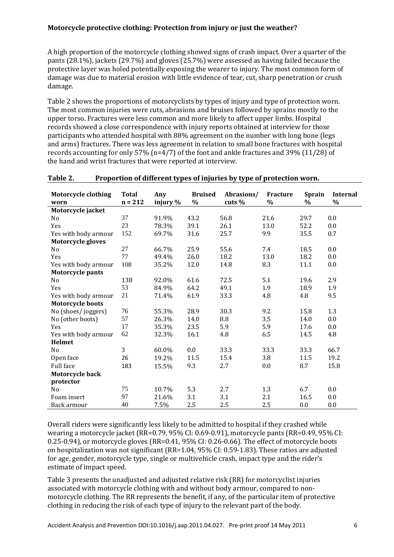A high proportion of the motorcycle clothing showed signs of crash impact. Over a quarter of the pants (28.1%), jackets (29.7%) and gloves (25.7%) were assessed as having failed because the protective layer was holed potentially exposing the wearer to injury. The most common form of damage was due to material erosion with little evidence of tear, cut, sharp penetration or crush damage.

Table 2 shows the proportions of motorcyclists by types of injury and type of protection worn. The most common injuries were cuts, abrasions and bruises followed by sprains mostly to the upper torso. Fractures were less common and more likely to affect upper limbs. Hospital records showed a close correspondence with injury reports obtained at interview for those participants who attended hospital with 88% agreement on the number with long bone (legs and arms) fractures. There was less agreement in relation to small bone fractures with hospital records accounting for only 57% (n=4/7) of the foot and ankle fractures and 39% (11/28) of the hand and wrist fractures that were reported at interview.

| <b>Motorcycle clothing</b> | <b>Total</b> | Any      | <b>Bruised</b> | Abrasions/ | Fracture | <b>Sprain</b> | <b>Internal</b> |
|----------------------------|--------------|----------|----------------|------------|----------|---------------|-----------------|
| worn                       | $n = 212$    | injury % | $\%$           | cuts $%$   | $\%$     | $\%$          | $\%$            |
| Motorcycle jacket          |              |          |                |            |          |               |                 |
| N <sub>0</sub>             | 37           | 91.9%    | 43.2           | 56.8       | 21.6     | 29.7          | 0.0             |
| Yes                        | 23           | 78.3%    | 39.1           | 26.1       | 13.0     | 52.2          | 0.0             |
| Yes with body armour       | 152          | 69.7%    | 31.6           | 25.7       | 9.9      | 35.5          | 0.7             |
| <b>Motorcycle gloves</b>   |              |          |                |            |          |               |                 |
| N <sub>0</sub>             | 27           | 66.7%    | 25.9           | 55.6       | 7.4      | 18.5          | 0.0             |
| Yes                        | 77           | 49.4%    | 26.0           | 18.2       | 13.0     | 18.2          | 0.0             |
| Yes with body armour       | 108          | 35.2%    | 12.0           | 14.8       | 8.3      | 11.1          | 0.0             |
| <b>Motorcycle pants</b>    |              |          |                |            |          |               |                 |
| No                         | 138          | 92.0%    | 61.6           | 72.5       | 5.1      | 19.6          | 2.9             |
| Yes                        | 53           | 84.9%    | 64.2           | 49.1       | 1.9      | 18.9          | 1.9             |
| Yes with body armour       | 21           | 71.4%    | 61.9           | 33.3       | 4.8      | 4.8           | 9.5             |
| <b>Motorcycle boots</b>    |              |          |                |            |          |               |                 |
| No (shoes/joggers)         | 76           | 55.3%    | 28.9           | 30.3       | 9.2      | 15.8          | 1.3             |
| No (other boots)           | 57           | 26.3%    | 14.0           | 8.8        | 3.5      | 14.0          | 0.0             |
| Yes                        | 17           | 35.3%    | 23.5           | 5.9        | 5.9      | 17.6          | 0.0             |
| Yes with body armour       | 62           | 32.3%    | 16.1           | 4.8        | 6.5      | 14.5          | 4.8             |
| <b>Helmet</b>              |              |          |                |            |          |               |                 |
| N <sub>0</sub>             | 3            | 60.0%    | 0.0            | 33.3       | 33.3     | 33.3          | 66.7            |
| Open face                  | 26           | 19.2%    | 11.5           | 15.4       | 3.8      | 11.5          | 19.2            |
| Full face                  | 183          | 15.5%    | 9.3            | 2.7        | 0.0      | 8.7           | 15.8            |
| Motorcycle back            |              |          |                |            |          |               |                 |
| protector                  |              |          |                |            |          |               |                 |
| N <sub>0</sub>             | 75           | 10.7%    | 5.3            | 2.7        | 1.3      | 6.7           | 0.0             |
| Foam insert                | 97           | 21.6%    | 3.1            | 3.1        | 2.1      | 16.5          | 0.0             |
| Back armour                | 40           | 7.5%     | 2.5            | 2.5        | 2.5      | 0.0           | 0.0             |

## **Table 2. Proportion of different types of injuries by type of protection worn.**

Overall riders were significantly less likely to be admitted to hospital if they crashed while wearing a motorcycle jacket (RR=0.79, 95% CI: 0.69-0.91), motorcycle pants (RR=0.49, 95% CI: 0.25-0.94), or motorcycle gloves (RR=0.41, 95% CI: 0.26-0.66). The effect of motorcycle boots on hospitalization was not significant (RR=1.04, 95% CI: 0.59-1.83). These ratios are adjusted for age, gender, motorcycle type, single or multivehicle crash, impact type and the rider's estimate of impact speed.

Table 3 presents the unadjusted and adjusted relative risk (RR) for motorcyclist injuries associated with motorcycle clothing with and without body armour, compared to nonmotorcycle clothing. The RR represents the benefit, if any, of the particular item of protective clothing in reducing the risk of each type of injury to the relevant part of the body.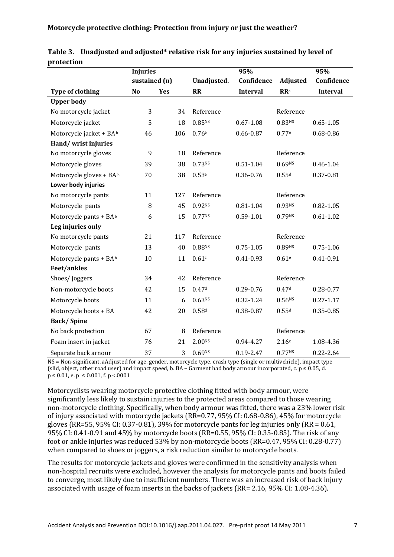|                         | <b>Injuries</b> |     |                    | 95%             |                    | 95%             |
|-------------------------|-----------------|-----|--------------------|-----------------|--------------------|-----------------|
|                         | sustained (n)   |     | Unadjusted.        | Confidence      | Adjusted           | Confidence      |
| <b>Type of clothing</b> | N <sub>o</sub>  | Yes | <b>RR</b>          | <b>Interval</b> | <b>RR</b> a        | <b>Interval</b> |
| <b>Upper body</b>       |                 |     |                    |                 |                    |                 |
| No motorcycle jacket    | 3               | 34  | Reference          |                 | Reference          |                 |
| Motorcycle jacket       | 5               | 18  | 0.85 <sub>NS</sub> | $0.67 - 1.08$   | 0.83 <sub>NS</sub> | $0.65 - 1.05$   |
| Motorcycle jacket + BAb | 46              | 106 | 0.76e              | $0.66 - 0.87$   | 0.77e              | $0.68 - 0.86$   |
| Hand/wrist injuries     |                 |     |                    |                 |                    |                 |
| No motorcycle gloves    | 9               | 18  | Reference          |                 | Reference          |                 |
| Motorcycle gloves       | 39              | 38  | 0.73 <sub>NS</sub> | $0.51 - 1.04$   | 0.69 <sub>NS</sub> | 0.46-1.04       |
| Motorcycle gloves + BAb | 70              | 38  | 0.53e              | 0.36-0.76       | 0.55d              | $0.37 - 0.81$   |
| Lower body injuries     |                 |     |                    |                 |                    |                 |
| No motorcycle pants     | 11              | 127 | Reference          |                 | Reference          |                 |
| Motorcycle pants        | 8               | 45  | 0.92 <sub>NS</sub> | $0.81 - 1.04$   | 0.93 <sub>NS</sub> | $0.82 - 1.05$   |
| Motorcycle pants + BAb  | 6               | 15  | 0.77Ns             | $0.59 - 1.01$   | 0.79NS             | $0.61 - 1.02$   |
| Leg injuries only       |                 |     |                    |                 |                    |                 |
| No motorcycle pants     | 21              | 117 | Reference          |                 | Reference          |                 |
| Motorcycle pants        | 13              | 40  | 0.88 <sup>NS</sup> | $0.75 - 1.05$   | 0.89NS             | $0.75 - 1.06$   |
| Motorcycle pants + BAb  | 10              | 11  | 0.61c              | $0.41 - 0.93$   | 0.61 <sup>e</sup>  | $0.41 - 0.91$   |
| <b>Feet/ankles</b>      |                 |     |                    |                 |                    |                 |
| Shoes/joggers           | 34              | 42  | Reference          |                 | Reference          |                 |
| Non-motorcycle boots    | 42              | 15  | 0.47 <sup>d</sup>  | 0.29-0.76       | 0.47 <sup>d</sup>  | $0.28 - 0.77$   |
| Motorcycle boots        | 11              | 6   | 0.63 <sup>NS</sup> | $0.32 - 1.24$   | 0.56 <sup>NS</sup> | $0.27 - 1.17$   |
| Motorcycle boots + BA   | 42              | 20  | 0.58d              | 0.38-0.87       | 0.55d              | $0.35 - 0.85$   |
| <b>Back/Spine</b>       |                 |     |                    |                 |                    |                 |
| No back protection      | 67              | 8   | Reference          |                 | Reference          |                 |
| Foam insert in jacket   | 76              | 21  | 2.00 <sub>NS</sub> | 0.94-4.27       | 2.16c              | 1.08-4.36       |
| Separate back arnour    | 37              | 3   | 0.69 <sub>NS</sub> | $0.19 - 2.47$   | 0.77Ns             | $0.22 - 2.64$   |

|            | Table 3. Unadjusted and adjusted* relative risk for any injuries sustained by level of |
|------------|----------------------------------------------------------------------------------------|
| protection |                                                                                        |

NS = Non-significant, aAdjusted for age, gender, motorcycle type, crash type (single or multivehicle), impact type (slid, object, other road user) and impact speed, b. BA – Garment had body armour incorporated, c.  $p \le 0.05$ , d.  $p \le 0.01$ , e.  $p \le 0.001$ , f.  $p < 0.001$ 

Motorcyclists wearing motorcycle protective clothing fitted with body armour, were significantly less likely to sustain injuries to the protected areas compared to those wearing non-motorcycle clothing. Specifically, when body armour was fitted, there was a 23% lower risk of injury associated with motorcycle jackets (RR=0.77, 95% CI: 0.68-0.86), 45% for motorcycle gloves (RR=55, 95% CI: 0.37-0.81), 39% for motorcycle pants for leg injuries only (RR =  $0.61$ , 95% CI: 0.41-0.91 and 45% by motorcycle boots (RR=0.55, 95% CI: 0.35-0.85). The risk of any foot or ankle injuries was reduced 53% by non-motorcycle boots (RR=0.47, 95% CI: 0.28-0.77) when compared to shoes or joggers, a risk reduction similar to motorcycle boots.

The results for motorcycle jackets and gloves were confirmed in the sensitivity analysis when non-hospital recruits were excluded, however the analysis for motorcycle pants and boots failed to converge, most likely due to insufficient numbers. There was an increased risk of back injury associated with usage of foam inserts in the backs of jackets (RR= 2.16, 95% CI: 1.08-4.36).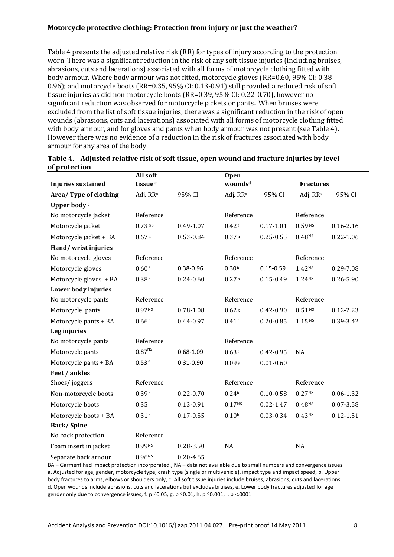Table 4 presents the adjusted relative risk (RR) for types of injury according to the protection worn. There was a significant reduction in the risk of any soft tissue injuries (including bruises, abrasions, cuts and lacerations) associated with all forms of motorcycle clothing fitted with body armour. Where body armour was not fitted, motorcycle gloves (RR=0.60, 95% CI: 0.38- 0.96); and motorcycle boots (RR=0.35, 95% CI: 0.13-0.91) still provided a reduced risk of soft tissue injuries as did non-motorcycle boots (RR=0.39, 95% CI: 0.22-0.70), however no significant reduction was observed for motorcycle jackets or pants.. When bruises were excluded from the list of soft tissue injuries, there was a significant reduction in the risk of open wounds (abrasions, cuts and lacerations) associated with all forms of motorcycle clothing fitted with body armour, and for gloves and pants when body armour was not present (see Table 4). However there was no evidence of a reduction in the risk of fractures associated with body armour for any area of the body.

|                           | All soft             |               | <b>Open</b>          |               |                      |               |
|---------------------------|----------------------|---------------|----------------------|---------------|----------------------|---------------|
| <b>Injuries sustained</b> | tissue <sup>c</sup>  |               | wounds <sup>d</sup>  |               | <b>Fractures</b>     |               |
| Area/ Type of clothing    | Adj. RR <sup>a</sup> | 95% CI        | Adj. RR <sup>a</sup> | 95% CI        | Adj. RR <sup>a</sup> | 95% CI        |
| Upper body <sup>e</sup>   |                      |               |                      |               |                      |               |
| No motorcycle jacket      | Reference            |               | Reference            |               | Reference            |               |
| Motorcycle jacket         | $0.73$ <sub>NS</sub> | 0.49-1.07     | 0.42f                | $0.17 - 1.01$ | 0.59 <sup>NS</sup>   | $0.16 - 2.16$ |
| Motorcycle jacket + BA    | 0.67 <sup>h</sup>    | $0.53 - 0.84$ | 0.37 <sup>h</sup>    | $0.25 - 0.55$ | 0.48NS               | $0.22 - 1.06$ |
| Hand/wrist injuries       |                      |               |                      |               |                      |               |
| No motorcycle gloves      | Reference            |               | Reference            |               | Reference            |               |
| Motorcycle gloves         | $0.60$ f             | 0.38-0.96     | 0.30h                | $0.15 - 0.59$ | 1.42NS               | 0.29-7.08     |
| Motorcycle gloves + BA    | 0.38h                | $0.24 - 0.60$ | 0.27 <sup>h</sup>    | $0.15 - 0.49$ | 1.24NS               | $0.26 - 5.90$ |
| Lower body injuries       |                      |               |                      |               |                      |               |
| No motorcycle pants       | Reference            |               | Reference            |               | Reference            |               |
| Motorcycle pants          | 0.92 <sub>NS</sub>   | $0.78 - 1.08$ | $0.62$ g             | $0.42 - 0.90$ | 0.51 <sup>NS</sup>   | $0.12 - 2.23$ |
| Motorcycle pants + BA     | 0.66f                | 0.44-0.97     | 0.41f                | $0.20 - 0.85$ | $1.15$ NS            | 0.39-3.42     |
| Leg injuries              |                      |               |                      |               |                      |               |
| No motorcycle pants       | Reference            |               | Reference            |               |                      |               |
| Motorcycle pants          | $0.87^{\rm NS}$      | $0.68 - 1.09$ | 0.63f                | $0.42 - 0.95$ | NA                   |               |
| Motorcycle pants + BA     | 0.53f                | $0.31 - 0.90$ | 0.09 s               | $0.01 - 0.60$ |                      |               |
| Feet / ankles             |                      |               |                      |               |                      |               |
| Shoes/joggers             | Reference            |               | Reference            |               | Reference            |               |
| Non-motorcycle boots      | 0.39h                | $0.22 - 0.70$ | 0.24 <sup>h</sup>    | $0.10 - 0.58$ | 0.27 <sub>NS</sub>   | $0.06 - 1.32$ |
| Motorcycle boots          | 0.35f                | $0.13 - 0.91$ | 0.17 <sup>NS</sup>   | $0.02 - 1.47$ | 0.48 <sup>NS</sup>   | $0.07 - 3.58$ |
| Motorcycle boots + BA     | 0.31 <sup>h</sup>    | $0.17 - 0.55$ | 0.10 <sup>h</sup>    | $0.03 - 0.34$ | $0.43^{NS}$          | $0.12 - 1.51$ |
| <b>Back/Spine</b>         |                      |               |                      |               |                      |               |
| No back protection        | Reference            |               |                      |               |                      |               |
| Foam insert in jacket     | 0.99NS               | $0.28 - 3.50$ | <b>NA</b>            |               | NA                   |               |
| Separate back arnour      | 0.96 <sub>NS</sub>   | $0.20 - 4.65$ |                      |               |                      |               |

|               | Table 4. Adjusted relative risk of soft tissue, open wound and fracture injuries by level |
|---------------|-------------------------------------------------------------------------------------------|
| of protection |                                                                                           |

BA – Garment had impact protection incorporated., NA – data not available due to small numbers and convergence issues. a. Adjusted for age, gender, motorcycle type, crash type (single or multivehicle), impact type and impact speed, b. Upper body fractures to arms, elbows or shoulders only, c. All soft tissue injuries include bruises, abrasions, cuts and lacerations, d. Open wounds include abrasions, cuts and lacerations but excludes bruises, e. Lower body fractures adjusted for age gender only due to convergence issues, f. p  $\leq$ 0.05, g. p  $\leq$ 0.01, h. p  $\leq$ 0.001, i. p <.0001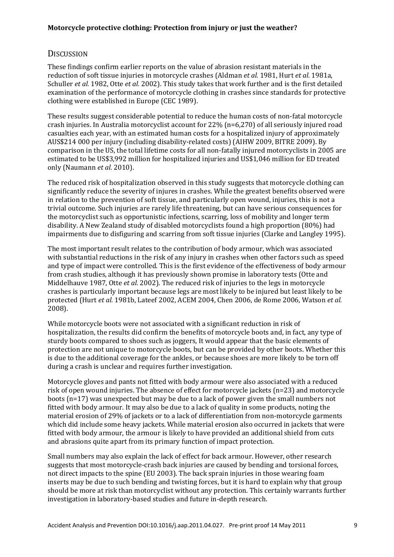# **DISCUSSION**

These findings confirm earlier reports on the value of abrasion resistant materials in the reduction of soft tissue injuries in motorcycle crashes (Aldman *et al.* 1981, Hurt *et al.* 1981a, Schuller *et al.* 1982, Otte *et al.* 2002). This study takes that work further and is the first detailed examination of the performance of motorcycle clothing in crashes since standards for protective clothing were established in Europe (CEC 1989).

These results suggest considerable potential to reduce the human costs of non-fatal motorcycle crash injuries. In Australia motorcyclist account for 22% (n=6,270) of all seriously injured road casualties each year, with an estimated human costs for a hospitalized injury of approximately AUS\$214 000 per injury (including disability-related costs) (AIHW 2009, BITRE 2009). By comparison in the US, the total lifetime costs for all non-fatally injured motorcyclists in 2005 are estimated to be US\$3,992 million for hospitalized injuries and US\$1,046 million for ED treated only (Naumann *et al.* 2010).

The reduced risk of hospitalization observed in this study suggests that motorcycle clothing can significantly reduce the severity of injures in crashes. While the greatest benefits observed were in relation to the prevention of soft tissue, and particularly open wound, injuries, this is not a trivial outcome. Such injuries are rarely life threatening, but can have serious consequences for the motorcyclist such as opportunistic infections, scarring, loss of mobility and longer term disability. A New Zealand study of disabled motorcyclists found a high proportion (80%) had impairments due to disfiguring and scarring from soft tissue injuries (Clarke and Langley 1995).

The most important result relates to the contribution of body armour, which was associated with substantial reductions in the risk of any injury in crashes when other factors such as speed and type of impact were controlled. This is the first evidence of the effectiveness of body armour from crash studies, although it has previously shown promise in laboratory tests (Otte and Middelhauve 1987, Otte *et al.* 2002). The reduced risk of injuries to the legs in motorcycle crashes is particularly important because legs are most likely to be injured but least likely to be protected (Hurt *et al.* 1981b, Lateef 2002, ACEM 2004, Chen 2006, de Rome 2006, Watson *et al.* 2008).

While motorcycle boots were not associated with a significant reduction in risk of hospitalization, the results did confirm the benefits of motorcycle boots and, in fact, any type of sturdy boots compared to shoes such as joggers, It would appear that the basic elements of protection are not unique to motorcycle boots, but can be provided by other boots. Whether this is due to the additional coverage for the ankles, or because shoes are more likely to be torn off during a crash is unclear and requires further investigation.

Motorcycle gloves and pants not fitted with body armour were also associated with a reduced risk of open wound injuries. The absence of effect for motorcycle jackets (n=23) and motorcycle boots (n=17) was unexpected but may be due to a lack of power given the small numbers not fitted with body armour. It may also be due to a lack of quality in some products, noting the material erosion of 29% of jackets or to a lack of differentiation from non-motorcycle garments which did include some heavy jackets. While material erosion also occurred in jackets that were fitted with body armour, the armour is likely to have provided an additional shield from cuts and abrasions quite apart from its primary function of impact protection.

Small numbers may also explain the lack of effect for back armour. However, other research suggests that most motorcycle-crash back injuries are caused by bending and torsional forces, not direct impacts to the spine (EU 2003). The back sprain injuries in those wearing foam inserts may be due to such bending and twisting forces, but it is hard to explain why that group should be more at risk than motorcyclist without any protection. This certainly warrants further investigation in laboratory-based studies and future in-depth research.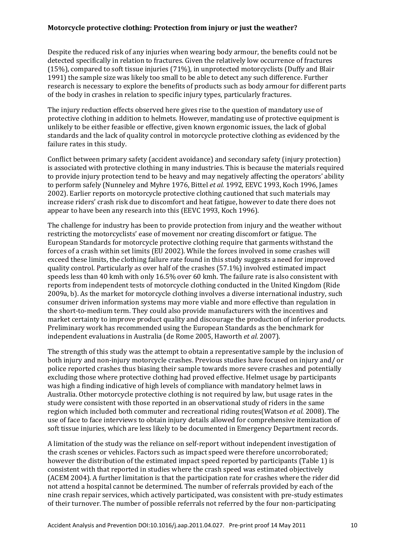Despite the reduced risk of any injuries when wearing body armour, the benefits could not be detected specifically in relation to fractures. Given the relatively low occurrence of fractures (15%), compared to soft tissue injuries (71%), in unprotected motorcyclists (Duffy and Blair 1991) the sample size was likely too small to be able to detect any such difference. Further research is necessary to explore the benefits of products such as body armour for different parts of the body in crashes in relation to specific injury types, particularly fractures.

The injury reduction effects observed here gives rise to the question of mandatory use of protective clothing in addition to helmets. However, mandating use of protective equipment is unlikely to be either feasible or effective, given known ergonomic issues, the lack of global standards and the lack of quality control in motorcycle protective clothing as evidenced by the failure rates in this study.

Conflict between primary safety (accident avoidance) and secondary safety (injury protection) is associated with protective clothing in many industries. This is because the materials required to provide injury protection tend to be heavy and may negatively affecting the operators' ability to perform safely (Nunneley and Myhre 1976, Bittel *et al.* 1992, EEVC 1993, Koch 1996, James 2002). Earlier reports on motorcycle protective clothing cautioned that such materials may increase riders' crash risk due to discomfort and heat fatigue, however to date there does not appear to have been any research into this (EEVC 1993, Koch 1996).

The challenge for industry has been to provide protection from injury and the weather without restricting the motorcyclists' ease of movement nor creating discomfort or fatigue. The European Standards for motorcycle protective clothing require that garments withstand the forces of a crash within set limits (EU 2002). While the forces involved in some crashes will exceed these limits, the clothing failure rate found in this study suggests a need for improved quality control. Particularly as over half of the crashes (57.1%) involved estimated impact speeds less than 40 kmh with only 16.5% over 60 kmh. The failure rate is also consistent with reports from independent tests of motorcycle clothing conducted in the United Kingdom (Ride 2009a, b). As the market for motorcycle clothing involves a diverse international industry, such consumer driven information systems may more viable and more effective than regulation in the short-to-medium term. They could also provide manufacturers with the incentives and market certainty to improve product quality and discourage the production of inferior products. Preliminary work has recommended using the European Standards as the benchmark for independent evaluations in Australia (de Rome 2005, Haworth *et al.* 2007).

The strength of this study was the attempt to obtain a representative sample by the inclusion of both injury and non-injury motorcycle crashes. Previous studies have focused on injury and/ or police reported crashes thus biasing their sample towards more severe crashes and potentially excluding those where protective clothing had proved effective. Helmet usage by participants was high a finding indicative of high levels of compliance with mandatory helmet laws in Australia. Other motorcycle protective clothing is not required by law, but usage rates in the study were consistent with those reported in an observational study of riders in the same region which included both commuter and recreational riding routes(Watson *et al.* 2008). The use of face to face interviews to obtain injury details allowed for comprehensive itemization of soft tissue injuries, which are less likely to be documented in Emergency Department records.

A limitation of the study was the reliance on self-report without independent investigation of the crash scenes or vehicles. Factors such as impact speed were therefore uncorroborated; however the distribution of the estimated impact speed reported by participants (Table 1) is consistent with that reported in studies where the crash speed was estimated objectively (ACEM 2004). A further limitation is that the participation rate for crashes where the rider did not attend a hospital cannot be determined. The number of referrals provided by each of the nine crash repair services, which actively participated, was consistent with pre-study estimates of their turnover. The number of possible referrals not referred by the four non-participating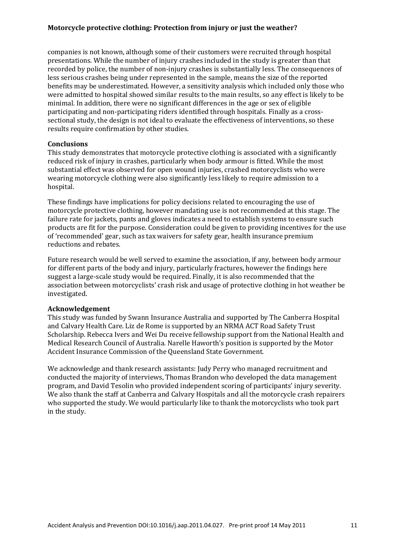companies is not known, although some of their customers were recruited through hospital presentations. While the number of injury crashes included in the study is greater than that recorded by police, the number of non-injury crashes is substantially less. The consequences of less serious crashes being under represented in the sample, means the size of the reported benefits may be underestimated. However, a sensitivity analysis which included only those who were admitted to hospital showed similar results to the main results, so any effect is likely to be minimal. In addition, there were no significant differences in the age or sex of eligible participating and non-participating riders identified through hospitals. Finally as a crosssectional study, the design is not ideal to evaluate the effectiveness of interventions, so these results require confirmation by other studies.

#### **Conclusions**

This study demonstrates that motorcycle protective clothing is associated with a significantly reduced risk of injury in crashes, particularly when body armour is fitted. While the most substantial effect was observed for open wound injuries, crashed motorcyclists who were wearing motorcycle clothing were also significantly less likely to require admission to a hospital.

These findings have implications for policy decisions related to encouraging the use of motorcycle protective clothing, however mandating use is not recommended at this stage. The failure rate for jackets, pants and gloves indicates a need to establish systems to ensure such products are fit for the purpose. Consideration could be given to providing incentives for the use of 'recommended' gear, such as tax waivers for safety gear, health insurance premium reductions and rebates.

Future research would be well served to examine the association, if any, between body armour for different parts of the body and injury, particularly fractures, however the findings here suggest a large-scale study would be required. Finally, it is also recommended that the association between motorcyclists' crash risk and usage of protective clothing in hot weather be investigated.

#### **Acknowledgement**

This study was funded by Swann Insurance Australia and supported by The Canberra Hospital and Calvary Health Care. Liz de Rome is supported by an NRMA ACT Road Safety Trust Scholarship. Rebecca Ivers and Wei Du receive fellowship support from the National Health and Medical Research Council of Australia. Narelle Haworth's position is supported by the Motor Accident Insurance Commission of the Queensland State Government.

We acknowledge and thank research assistants: Judy Perry who managed recruitment and conducted the majority of interviews, Thomas Brandon who developed the data management program, and David Tesolin who provided independent scoring of participants' injury severity. We also thank the staff at Canberra and Calvary Hospitals and all the motorcycle crash repairers who supported the study. We would particularly like to thank the motorcyclists who took part in the study.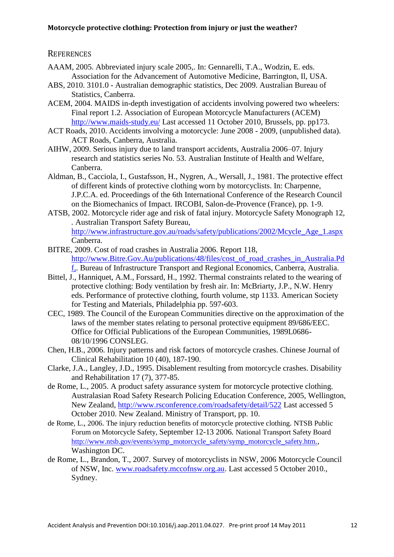### **REFERENCES**

- AAAM, 2005. Abbreviated injury scale 2005,. In: Gennarelli, T.A., Wodzin, E. eds. Association for the Advancement of Automotive Medicine, Barrington, Il, USA.
- ABS, 2010. 3101.0 Australian demographic statistics, Dec 2009. Australian Bureau of Statistics, Canberra.
- ACEM, 2004. MAIDS in-depth investigation of accidents involving powered two wheelers: Final report 1.2. Association of European Motorcycle Manufacturers (ACEM) <http://www.maids-study.eu/> Last accessed 11 October 2010, Brussels, pp. pp173.
- ACT Roads, 2010. Accidents involving a motorcycle: June 2008 2009, (unpublished data). ACT Roads, Canberra, Australia.
- AIHW, 2009. Serious injury due to land transport accidents, Australia 2006–07. Injury research and statistics series No. 53*.* Australian Institute of Health and Welfare, Canberra.
- Aldman, B., Cacciola, I., Gustafsson, H., Nygren, A., Wersall, J., 1981. The protective effect of different kinds of protective clothing worn by motorcyclists. In: Charpenne, J.P.C.A. ed. Proceedings of the 6th International Conference of the Research Council on the Biomechanics of Impact*.* IRCOBI, Salon-de-Provence (France), pp. 1-9.
- ATSB, 2002. Motorcycle rider age and risk of fatal injury. Motorcycle Safety Monograph 12, *.* Australian Transport Safety Bureau, [http://www.infrastructure.gov.au/roads/safety/publications/2002/Mcycle\\_Age\\_1.aspx](http://www.infrastructure.gov.au/roads/safety/publications/2002/Mcycle_Age_1.aspx)  Canberra.
- BITRE, 2009. Cost of road crashes in Australia 2006. Report 118, [http://www.Bitre.Gov.Au/publications/48/files/cost\\_of\\_road\\_crashes\\_in\\_Australia.Pd](http://www.bitre.gov.au/publications/48/files/cost_of_road_crashes_in_Australia.Pdf,) [f,.](http://www.bitre.gov.au/publications/48/files/cost_of_road_crashes_in_Australia.Pdf,) Bureau of Infrastructure Transport and Regional Economics, Canberra, Australia.
- Bittel, J., Hanniquet, A.M., Forssard, H., 1992. Thermal constraints related to the wearing of protective clothing: Body ventilation by fresh air. In: McBriarty, J.P., N.W. Henry eds. Performance of protective clothing, fourth volume, stp 1133*.* American Society for Testing and Materials, Philadelphia pp. 597-603.
- CEC, 1989. The Council of the European Communities directive on the approximation of the laws of the member states relating to personal protective equipment 89/686/EEC. Office for Official Publications of the European Communities, 1989L0686- 08/10/1996 CONSLEG.
- Chen, H.B., 2006. Injury patterns and risk factors of motorcycle crashes. Chinese Journal of Clinical Rehabilitation 10 (40), 187-190.
- Clarke, J.A., Langley, J.D., 1995. Disablement resulting from motorcycle crashes. Disability and Rehabilitation 17 (7), 377-85.
- de Rome, L., 2005. A product safety assurance system for motorcycle protective clothing. Australasian Road Safety Research Policing Education Conference, 2005, Wellington, New Zealand,<http://www.rsconference.com/roadsafety/detail/522> Last accessed 5 October 2010. New Zealand. Ministry of Transport, pp. 10.
- de Rome, L., 2006. The injury reduction benefits of motorcycle protective clothing. NTSB Public Forum on Motorcycle Safety, September 12-13 2006*.* National Transport Safety Board [http://www.ntsb.gov/events/symp\\_motorcycle\\_safety/symp\\_motorcycle\\_safety.htm](http://www.ntsb.gov/events/symp_motorcycle_safety/symp_motorcycle_safety.htm.)., Washington DC.
- de Rome, L., Brandon, T., 2007. Survey of motorcyclists in NSW, 2006 Motorcycle Council of NSW, Inc. [www.roadsafety.mccofnsw.org.au.](http://www.roadsafety.mccofnsw.org.au/) Last accessed 5 October 2010., Sydney.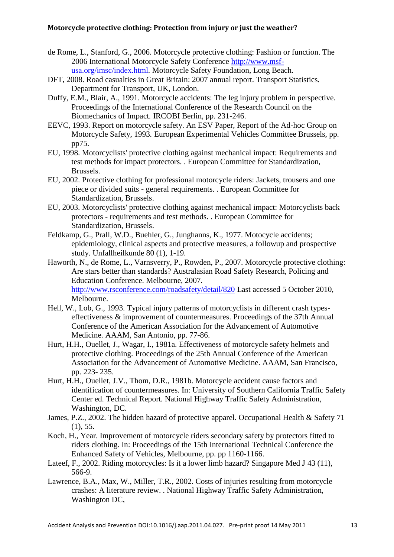- de Rome, L., Stanford, G., 2006. Motorcycle protective clothing: Fashion or function. The 2006 International Motorcycle Safety Conference [http://www.msf](http://www.msf-usa.org/imsc/index.html)[usa.org/imsc/index.html](http://www.msf-usa.org/imsc/index.html)*.* Motorcycle Safety Foundation, Long Beach.
- DFT, 2008. Road casualties in Great Britain: 2007 annual report. Transport Statistics*.* Department for Transport, UK, London.
- Duffy, E.M., Blair, A., 1991. Motorcycle accidents: The leg injury problem in perspective. Proceedings of the International Conference of the Research Council on the Biomechanics of Impact*.* IRCOBI Berlin, pp. 231-246.
- EEVC, 1993. Report on motorcycle safety. An ESV Paper, Report of the Ad-hoc Group on Motorcycle Safety, 1993*.* European Experimental Vehicles Committee Brussels, pp. pp75.
- EU, 1998. Motorcyclists' protective clothing against mechanical impact: Requirements and test methods for impact protectors. . European Committee for Standardization, Brussels.
- EU, 2002. Protective clothing for professional motorcycle riders: Jackets, trousers and one piece or divided suits - general requirements. . European Committee for Standardization, Brussels.
- EU, 2003. Motorcyclists' protective clothing against mechanical impact: Motorcyclists back protectors - requirements and test methods. . European Committee for Standardization, Brussels.
- Feldkamp, G., Prall, W.D., Buehler, G., Junghanns, K., 1977. Motocycle accidents; epidemiology, clinical aspects and protective measures, a followup and prospective study. Unfallheilkunde 80 (1), 1-19.
- Haworth, N., de Rome, L., Varnsverry, P., Rowden, P., 2007. Motorcycle protective clothing: Are stars better than standards? Australasian Road Safety Research, Policing and Education Conference. Melbourne, 2007*.* <http://www.rsconference.com/roadsafety/detail/820> Last accessed 5 October 2010, Melbourne.
- Hell, W., Lob, G., 1993. Typical injury patterns of motorcyclists in different crash typeseffectiveness & improvement of countermeasures. Proceedings of the 37th Annual Conference of the American Association for the Advancement of Automotive Medicine*.* AAAM, San Antonio, pp. 77-86.
- Hurt, H.H., Ouellet, J., Wagar, I., 1981a. Effectiveness of motorcycle safety helmets and protective clothing. Proceedings of the 25th Annual Conference of the American Association for the Advancement of Automotive Medicine*.* AAAM, San Francisco, pp. 223- 235.
- Hurt, H.H., Ouellet, J.V., Thom, D.R., 1981b. Motorcycle accident cause factors and identification of countermeasures. In: University of Southern California Traffic Safety Center ed. Technical Report*.* National Highway Traffic Safety Administration, Washington, DC.
- James, P.Z., 2002. The hidden hazard of protective apparel. Occupational Health & Safety 71 (1), 55.
- Koch, H., Year. Improvement of motorcycle riders secondary safety by protectors fitted to riders clothing. In: Proceedings of the 15th International Technical Conference the Enhanced Safety of Vehicles, Melbourne, pp. pp 1160-1166.
- Lateef, F., 2002. Riding motorcycles: Is it a lower limb hazard? Singapore Med J 43 (11), 566-9.
- Lawrence, B.A., Max, W., Miller, T.R., 2002. Costs of injuries resulting from motorcycle crashes: A literature review. . National Highway Traffic Safety Administration, Washington DC,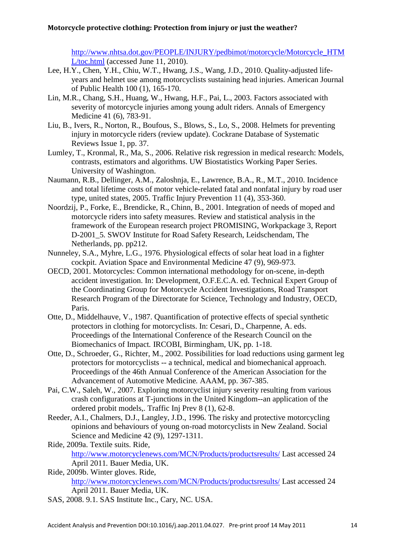[http://www.nhtsa.dot.gov/PEOPLE/INJURY/pedbimot/motorcycle/Motorcycle\\_HTM](http://www.nhtsa.dot.gov/PEOPLE/INJURY/pedbimot/motorcycle/Motorcycle_HTML/toc.html) [L/toc.html](http://www.nhtsa.dot.gov/PEOPLE/INJURY/pedbimot/motorcycle/Motorcycle_HTML/toc.html) (accessed June 11, 2010).

- Lee, H.Y., Chen, Y.H., Chiu, W.T., Hwang, J.S., Wang, J.D., 2010. Quality-adjusted lifeyears and helmet use among motorcyclists sustaining head injuries. American Journal of Public Health 100 (1), 165-170.
- Lin, M.R., Chang, S.H., Huang, W., Hwang, H.F., Pai, L., 2003. Factors associated with severity of motorcycle injuries among young adult riders. Annals of Emergency Medicine 41 (6), 783-91.
- Liu, B., Ivers, R., Norton, R., Boufous, S., Blows, S., Lo, S., 2008. Helmets for preventing injury in motorcycle riders (review update). Cockrane Database of Systematic Reviews Issue 1, pp. 37.
- Lumley, T., Kronmal, R., Ma, S., 2006. Relative risk regression in medical research: Models, contrasts, estimators and algorithms. UW Biostatistics Working Paper Series*.* University of Washington.
- Naumann, R.B., Dellinger, A.M., Zaloshnja, E., Lawrence, B.A., R., M.T., 2010. Incidence and total lifetime costs of motor vehicle-related fatal and nonfatal injury by road user type, united states, 2005. Traffic Injury Prevention 11 (4), 353-360.
- Noordzij, P., Forke, E., Brendicke, R., Chinn, B., 2001. Integration of needs of moped and motorcycle riders into safety measures. Review and statistical analysis in the framework of the European research project PROMISING, Workpackage 3, Report D-2001\_5*.* SWOV Institute for Road Safety Research, Leidschendam, The Netherlands, pp. pp212.
- Nunneley, S.A., Myhre, L.G., 1976. Physiological effects of solar heat load in a fighter cockpit. Aviation Space and Environmental Medicine 47 (9), 969-973.
- OECD, 2001. Motorcycles: Common international methodology for on-scene, in-depth accident investigation. In: Development, O.F.E.C.A. ed. Technical Expert Group of the Coordinating Group for Motorcycle Accident Investigations, Road Transport Research Program of the Directorate for Science, Technology and Industry, OECD, Paris.
- Otte, D., Middelhauve, V., 1987. Quantification of protective effects of special synthetic protectors in clothing for motorcyclists. In: Cesari, D., Charpenne, A. eds. Proceedings of the International Conference of the Research Council on the Biomechanics of Impact*.* IRCOBI, Birmingham, UK, pp. 1-18.
- Otte, D., Schroeder, G., Richter, M., 2002. Possibilities for load reductions using garment leg protectors for motorcyclists -- a technical, medical and biomechanical approach. Proceedings of the 46th Annual Conference of the American Association for the Advancement of Automotive Medicine*.* AAAM, pp. 367-385.
- Pai, C.W., Saleh, W., 2007. Exploring motorcyclist injury severity resulting from various crash configurations at T-junctions in the United Kingdom--an application of the ordered probit models,. Traffic Inj Prev 8 (1), 62-8.
- Reeder, A.I., Chalmers, D.J., Langley, J.D., 1996. The risky and protective motorcycling opinions and behaviours of young on-road motorcyclists in New Zealand. Social Science and Medicine 42 (9), 1297-1311.
- Ride, 2009a. Textile suits. Ride, <http://www.motorcyclenews.com/MCN/Products/productsresults/> Last accessed 24 April 2011*.* Bauer Media, UK.
- Ride, 2009b. Winter gloves. Ride, <http://www.motorcyclenews.com/MCN/Products/productsresults/> Last accessed 24 April 2011*.* Bauer Media, UK.
- SAS, 2008. 9.1. SAS Institute Inc., Cary, NC. USA.